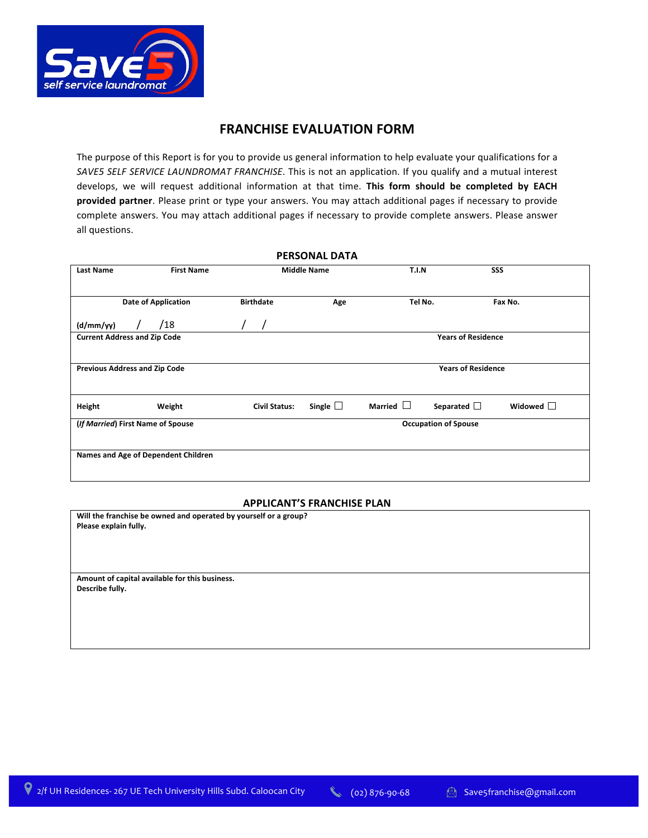

## **FRANCHISE EVALUATION FORM**

The purpose of this Report is for you to provide us general information to help evaluate your qualifications for a SAVE5 SELF SERVICE LAUNDROMAT FRANCHISE. This is not an application. If you qualify and a mutual interest develops, we will request additional information at that time. This form should be completed by EACH **provided partner**. Please print or type your answers. You may attach additional pages if necessary to provide complete answers. You may attach additional pages if necessary to provide complete answers. Please answer all questions.

| <b>PERSONAL DATA</b>                  |                      |                    |                |                             |                   |
|---------------------------------------|----------------------|--------------------|----------------|-----------------------------|-------------------|
| <b>First Name</b><br><b>Last Name</b> |                      | <b>Middle Name</b> | <b>T.I.N</b>   |                             | SSS               |
|                                       |                      |                    |                |                             |                   |
| <b>Date of Application</b>            | <b>Birthdate</b>     | Age                | Tel No.        |                             | Fax No.           |
| /18<br>(d/mm/yy)                      |                      |                    |                |                             |                   |
| <b>Current Address and Zip Code</b>   |                      |                    |                | <b>Years of Residence</b>   |                   |
|                                       |                      |                    |                |                             |                   |
| <b>Previous Address and Zip Code</b>  |                      |                    |                | <b>Years of Residence</b>   |                   |
|                                       |                      |                    |                |                             |                   |
| Weight<br>Height                      | <b>Civil Status:</b> | Single $\Box$      | Married $\Box$ | Separated $\Box$            | Widowed $\square$ |
| (If Married) First Name of Spouse     |                      |                    |                | <b>Occupation of Spouse</b> |                   |
|                                       |                      |                    |                |                             |                   |
| Names and Age of Dependent Children   |                      |                    |                |                             |                   |
|                                       |                      |                    |                |                             |                   |

#### **APPLICANT'S FRANCHISE PLAN**

| Will the franchise be owned and operated by yourself or a group? |
|------------------------------------------------------------------|
| Please explain fully.                                            |
|                                                                  |
|                                                                  |
|                                                                  |
|                                                                  |
| Amount of capital available for this business.                   |
| Describe fully.                                                  |
|                                                                  |
|                                                                  |
|                                                                  |
|                                                                  |
|                                                                  |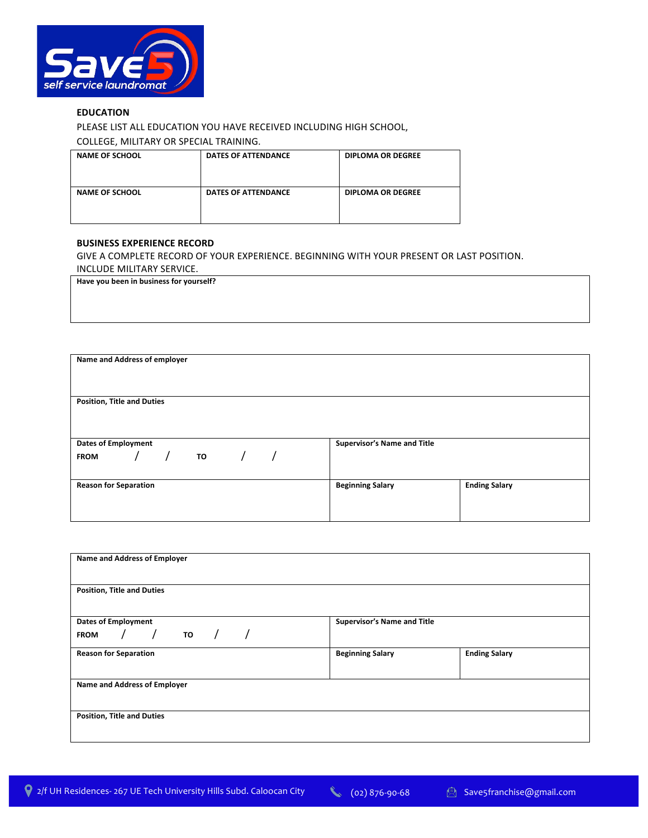

### **EDUCATION**

PLEASE LIST ALL EDUCATION YOU HAVE RECEIVED INCLUDING HIGH SCHOOL,

COLLEGE, MILITARY OR SPECIAL TRAINING.

| <b>NAME OF SCHOOL</b> | <b>DATES OF ATTENDANCE</b> | <b>DIPLOMA OR DEGREE</b> |
|-----------------------|----------------------------|--------------------------|
| <b>NAME OF SCHOOL</b> | <b>DATES OF ATTENDANCE</b> | <b>DIPLOMA OR DEGREE</b> |

#### **BUSINESS EXPERIENCE RECORD**

GIVE A COMPLETE RECORD OF YOUR EXPERIENCE. BEGINNING WITH YOUR PRESENT OR LAST POSITION. INCLUDE MILITARY SERVICE.

Have you been in business for yourself?

| Name and Address of employer      |                             |                      |
|-----------------------------------|-----------------------------|----------------------|
| <b>Position, Title and Duties</b> |                             |                      |
|                                   |                             |                      |
|                                   |                             |                      |
| <b>Dates of Employment</b>        | Supervisor's Name and Title |                      |
| FROM $/$ $/$ TO $/$ $/$           |                             |                      |
|                                   |                             |                      |
| <b>Reason for Separation</b>      | <b>Beginning Salary</b>     | <b>Ending Salary</b> |
|                                   |                             |                      |
|                                   |                             |                      |

| Name and Address of Employer                          |                             |                      |
|-------------------------------------------------------|-----------------------------|----------------------|
| <b>Position, Title and Duties</b>                     |                             |                      |
| <b>Dates of Employment</b><br>/ то / /<br><b>FROM</b> | Supervisor's Name and Title |                      |
| <b>Reason for Separation</b>                          | <b>Beginning Salary</b>     | <b>Ending Salary</b> |
| Name and Address of Employer                          |                             |                      |
| <b>Position, Title and Duties</b>                     |                             |                      |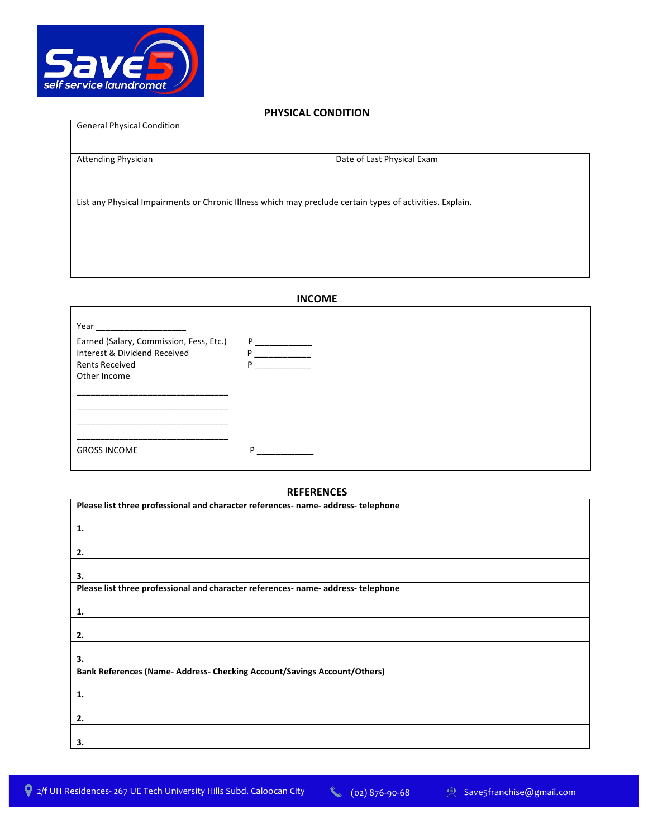

 $\Gamma$ 

### **PHYSICAL CONDITION**

| Date of Last Physical Exam                                                                                |
|-----------------------------------------------------------------------------------------------------------|
|                                                                                                           |
| List any Physical Impairments or Chronic Illness which may preclude certain types of activities. Explain. |
|                                                                                                           |
|                                                                                                           |
|                                                                                                           |

## **INCOME**

| Year                                                                  |          |
|-----------------------------------------------------------------------|----------|
| Earned (Salary, Commission, Fess, Etc.)                               | P =<br>D |
| Interest & Dividend Received<br><b>Rents Received</b><br>Other Income |          |
|                                                                       |          |
|                                                                       |          |
|                                                                       |          |
| <b>GROSS INCOME</b>                                                   | D        |

### **REFERENCES**

| Please list three professional and character references- name- address- telephone |
|-----------------------------------------------------------------------------------|
| 1.                                                                                |
|                                                                                   |
| 2.                                                                                |
| 3.                                                                                |
| Please list three professional and character references- name- address- telephone |
| 1.                                                                                |
|                                                                                   |
| 2.                                                                                |
|                                                                                   |
| 3.                                                                                |
| Bank References (Name- Address- Checking Account/Savings Account/Others)          |
| 1.                                                                                |
|                                                                                   |
| 2.                                                                                |
|                                                                                   |
| 3.                                                                                |

٦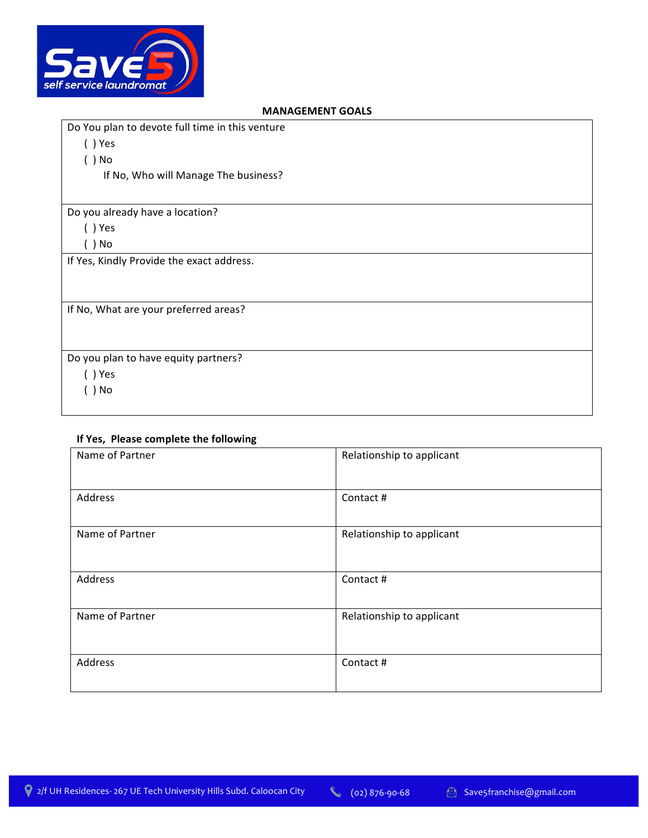

## **GEMENT GOALS**

| <b>IVIANAULIVILINI UUALJ</b>                    |  |
|-------------------------------------------------|--|
| Do You plan to devote full time in this venture |  |
| $( )$ Yes                                       |  |
| $( )$ No                                        |  |
| If No, Who will Manage The business?            |  |
|                                                 |  |
| Do you already have a location?                 |  |
| $( )$ Yes                                       |  |
| $( )$ No                                        |  |
| If Yes, Kindly Provide the exact address.       |  |
|                                                 |  |
|                                                 |  |
| If No, What are your preferred areas?           |  |
|                                                 |  |
|                                                 |  |
| Do you plan to have equity partners?            |  |
| () Yes                                          |  |
| ) No                                            |  |
|                                                 |  |

# **If Yes, Please complete the following**

| Name of Partner | Relationship to applicant |
|-----------------|---------------------------|
| Address         | Contact #                 |
| Name of Partner | Relationship to applicant |
| Address         | Contact #                 |
| Name of Partner | Relationship to applicant |
| Address         | Contact #                 |